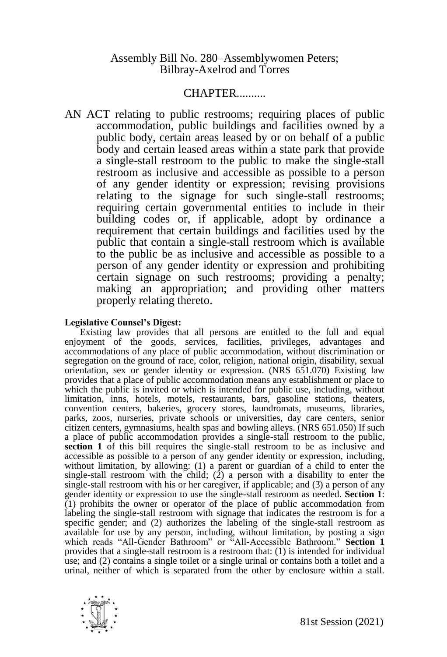## Assembly Bill No. 280–Assemblywomen Peters; Bilbray-Axelrod and Torres

## CHAPTER..........

AN ACT relating to public restrooms; requiring places of public accommodation, public buildings and facilities owned by a public body, certain areas leased by or on behalf of a public body and certain leased areas within a state park that provide a single-stall restroom to the public to make the single-stall restroom as inclusive and accessible as possible to a person of any gender identity or expression; revising provisions relating to the signage for such single-stall restrooms; requiring certain governmental entities to include in their building codes or, if applicable, adopt by ordinance a requirement that certain buildings and facilities used by the public that contain a single-stall restroom which is available to the public be as inclusive and accessible as possible to a person of any gender identity or expression and prohibiting certain signage on such restrooms; providing a penalty; making an appropriation; and providing other matters properly relating thereto.

## **Legislative Counsel's Digest:**

Existing law provides that all persons are entitled to the full and equal enjoyment of the goods, services, facilities, privileges, advantages and accommodations of any place of public accommodation, without discrimination or segregation on the ground of race, color, religion, national origin, disability, sexual orientation, sex or gender identity or expression. (NRS 651.070) Existing law provides that a place of public accommodation means any establishment or place to which the public is invited or which is intended for public use, including, without limitation, inns, hotels, motels, restaurants, bars, gasoline stations, theaters, convention centers, bakeries, grocery stores, laundromats, museums, libraries, parks, zoos, nurseries, private schools or universities, day care centers, senior citizen centers, gymnasiums, health spas and bowling alleys. (NRS 651.050) If such a place of public accommodation provides a single-stall restroom to the public, **section 1** of this bill requires the single-stall restroom to be as inclusive and accessible as possible to a person of any gender identity or expression, including, without limitation, by allowing: (1) a parent or guardian of a child to enter the single-stall restroom with the child;  $(2)$  a person with a disability to enter the single-stall restroom with his or her caregiver, if applicable; and (3) a person of any gender identity or expression to use the single-stall restroom as needed. **Section 1**: (1) prohibits the owner or operator of the place of public accommodation from labeling the single-stall restroom with signage that indicates the restroom is for a specific gender; and (2) authorizes the labeling of the single-stall restroom as available for use by any person, including, without limitation, by posting a sign which reads "All-Gender Bathroom" or "All-Accessible Bathroom." **Section 1** provides that a single-stall restroom is a restroom that: (1) is intended for individual use; and (2) contains a single toilet or a single urinal or contains both a toilet and a urinal, neither of which is separated from the other by enclosure within a stall.

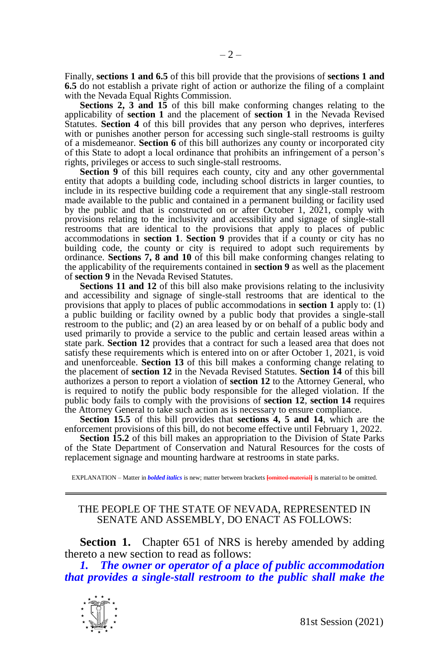Finally, **sections 1 and 6.5** of this bill provide that the provisions of **sections 1 and 6.5** do not establish a private right of action or authorize the filing of a complaint with the Nevada Equal Rights Commission.

**Sections 2, 3 and 15** of this bill make conforming changes relating to the applicability of **section 1** and the placement of **section 1** in the Nevada Revised Statutes. **Section 4** of this bill provides that any person who deprives, interferes with or punishes another person for accessing such single-stall restrooms is guilty of a misdemeanor. **Section 6** of this bill authorizes any county or incorporated city of this State to adopt a local ordinance that prohibits an infringement of a person's rights, privileges or access to such single-stall restrooms.

**Section 9** of this bill requires each county, city and any other governmental entity that adopts a building code, including school districts in larger counties, to include in its respective building code a requirement that any single-stall restroom made available to the public and contained in a permanent building or facility used by the public and that is constructed on or after October 1, 2021, comply with provisions relating to the inclusivity and accessibility and signage of single-stall restrooms that are identical to the provisions that apply to places of public accommodations in **section 1**. **Section 9** provides that if a county or city has no building code, the county or city is required to adopt such requirements by ordinance. **Sections 7, 8 and 10** of this bill make conforming changes relating to the applicability of the requirements contained in **section 9** as well as the placement of **section 9** in the Nevada Revised Statutes.

**Sections 11 and 12** of this bill also make provisions relating to the inclusivity and accessibility and signage of single-stall restrooms that are identical to the provisions that apply to places of public accommodations in **section 1** apply to: (1) a public building or facility owned by a public body that provides a single-stall restroom to the public; and (2) an area leased by or on behalf of a public body and used primarily to provide a service to the public and certain leased areas within a state park. **Section 12** provides that a contract for such a leased area that does not satisfy these requirements which is entered into on or after October 1, 2021, is void and unenforceable. **Section 13** of this bill makes a conforming change relating to the placement of **section 12** in the Nevada Revised Statutes. **Section 14** of this bill authorizes a person to report a violation of **section 12** to the Attorney General, who is required to notify the public body responsible for the alleged violation. If the public body fails to comply with the provisions of **section 12**, **section 14** requires the Attorney General to take such action as is necessary to ensure compliance.

**Section 15.5** of this bill provides that **sections 4, 5 and 14**, which are the enforcement provisions of this bill, do not become effective until February 1, 2022.

**Section 15.2** of this bill makes an appropriation to the Division of State Parks of the State Department of Conservation and Natural Resources for the costs of replacement signage and mounting hardware at restrooms in state parks.

EXPLANATION – Matter in *bolded italics* is new; matter between brackets **[**omitted material**]** is material to be omitted.

## THE PEOPLE OF THE STATE OF NEVADA, REPRESENTED IN SENATE AND ASSEMBLY, DO ENACT AS FOLLOWS:

**Section 1.** Chapter 651 of NRS is hereby amended by adding thereto a new section to read as follows:

*1. The owner or operator of a place of public accommodation that provides a single-stall restroom to the public shall make the* 

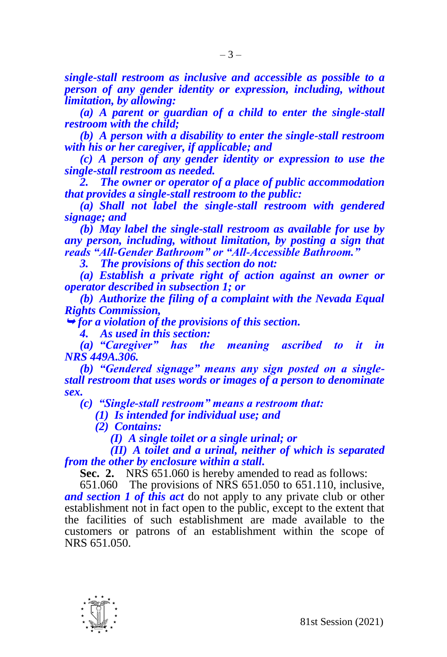*single-stall restroom as inclusive and accessible as possible to a person of any gender identity or expression, including, without limitation, by allowing:*

*(a) A parent or guardian of a child to enter the single-stall restroom with the child;*

*(b) A person with a disability to enter the single-stall restroom with his or her caregiver, if applicable; and*

*(c) A person of any gender identity or expression to use the single-stall restroom as needed.*

*2. The owner or operator of a place of public accommodation that provides a single-stall restroom to the public:*

*(a) Shall not label the single-stall restroom with gendered signage; and*

*(b) May label the single-stall restroom as available for use by any person, including, without limitation, by posting a sign that reads "All-Gender Bathroom" or "All-Accessible Bathroom."*

*3. The provisions of this section do not:*

*(a) Establish a private right of action against an owner or operator described in subsection 1; or*

*(b) Authorize the filing of a complaint with the Nevada Equal Rights Commission,*

*for a violation of the provisions of this section.* 

*4. As used in this section:*

*(a) "Caregiver" has the meaning ascribed to it in NRS 449A.306.*

*(b) "Gendered signage" means any sign posted on a singlestall restroom that uses words or images of a person to denominate sex.*

*(c) "Single-stall restroom" means a restroom that:*

*(1) Is intended for individual use; and*

*(2) Contains:*

*(I) A single toilet or a single urinal; or*

*(II) A toilet and a urinal, neither of which is separated from the other by enclosure within a stall.*

**Sec. 2.** NRS 651.060 is hereby amended to read as follows:

651.060 The provisions of NRS 651.050 to 651.110, inclusive, *and section 1 of this act* do not apply to any private club or other establishment not in fact open to the public, except to the extent that the facilities of such establishment are made available to the customers or patrons of an establishment within the scope of NRS 651.050.

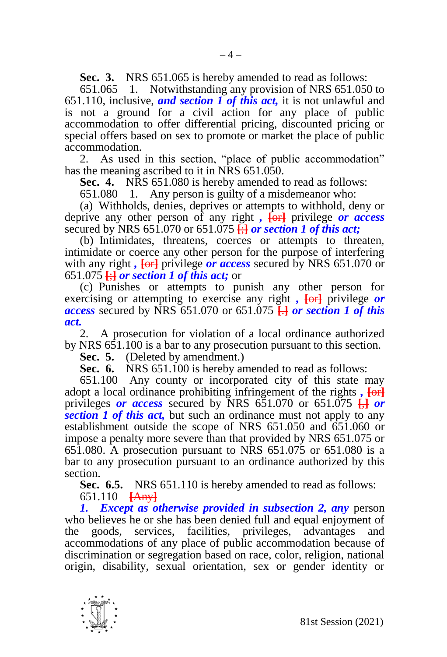**Sec. 3.** NRS 651.065 is hereby amended to read as follows:

651.065 1. Notwithstanding any provision of NRS 651.050 to 651.110, inclusive, *and section 1 of this act,* it is not unlawful and is not a ground for a civil action for any place of public accommodation to offer differential pricing, discounted pricing or special offers based on sex to promote or market the place of public accommodation.

2. As used in this section, "place of public accommodation" has the meaning ascribed to it in NRS 651.050.

**Sec. 4.** NRS 651.080 is hereby amended to read as follows:

651.080 1. Any person is guilty of a misdemeanor who:

(a) Withholds, denies, deprives or attempts to withhold, deny or deprive any other person of any right *,* **[**or**]** privilege *or access* secured by NRS 651.070 or 651.075 **[**;**]** *or section 1 of this act;*

(b) Intimidates, threatens, coerces or attempts to threaten, intimidate or coerce any other person for the purpose of interfering with any right *,* **[**or**]** privilege *or access* secured by NRS 651.070 or 651.075 **[**;**]** *or section 1 of this act;* or

(c) Punishes or attempts to punish any other person for exercising or attempting to exercise any right,  $\overline{\text{for}}$  privilege *or access* secured by NRS 651.070 or 651.075 **[**.**]** *or section 1 of this act.*

2. A prosecution for violation of a local ordinance authorized by NRS 651.100 is a bar to any prosecution pursuant to this section.

**Sec. 5.** (Deleted by amendment.)

**Sec. 6.** NRS 651.100 is hereby amended to read as follows:

651.100 Any county or incorporated city of this state may adopt a local ordinance prohibiting infringement of the rights **, [or**] privileges *or access* secured by NRS 651.070 or 651.075 **[**,**]** *or section 1 of this act,* but such an ordinance must not apply to any establishment outside the scope of NRS 651.050 and 651.060 or impose a penalty more severe than that provided by NRS 651.075 or 651.080. A prosecution pursuant to NRS 651.075 or 651.080 is a bar to any prosecution pursuant to an ordinance authorized by this section.

**Sec. 6.5.** NRS 651.110 is hereby amended to read as follows: 651.110 **[**Any**]**

*1. Except as otherwise provided in subsection 2, any* person who believes he or she has been denied full and equal enjoyment of the goods, services, facilities, privileges, advantages and accommodations of any place of public accommodation because of discrimination or segregation based on race, color, religion, national origin, disability, sexual orientation, sex or gender identity or

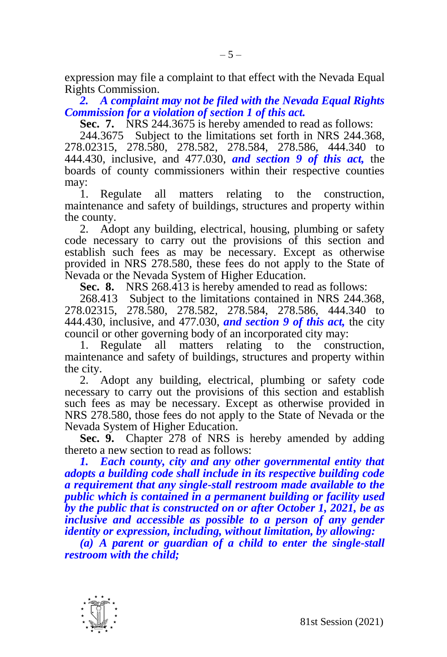expression may file a complaint to that effect with the Nevada Equal Rights Commission.

*2. A complaint may not be filed with the Nevada Equal Rights Commission for a violation of section 1 of this act.*

**Sec. 7.** NRS 244.3675 is hereby amended to read as follows:

244.3675 Subject to the limitations set forth in NRS 244.368, 278.02315, 278.580, 278.582, 278.584, 278.586, 444.340 to 444.430, inclusive, and 477.030, *and section 9 of this act,* the boards of county commissioners within their respective counties may:

1. Regulate all matters relating to the construction, maintenance and safety of buildings, structures and property within the county.

2. Adopt any building, electrical, housing, plumbing or safety code necessary to carry out the provisions of this section and establish such fees as may be necessary. Except as otherwise provided in NRS 278.580, these fees do not apply to the State of Nevada or the Nevada System of Higher Education.

**Sec. 8.** NRS 268.413 is hereby amended to read as follows:

268.413 Subject to the limitations contained in NRS 244.368, 278.02315, 278.580, 278.582, 278.584, 278.586, 444.340 to 444.430, inclusive, and 477.030, *and section 9 of this act,* the city council or other governing body of an incorporated city may:

1. Regulate all matters relating to the construction, maintenance and safety of buildings, structures and property within the city.

2. Adopt any building, electrical, plumbing or safety code necessary to carry out the provisions of this section and establish such fees as may be necessary. Except as otherwise provided in NRS 278.580, those fees do not apply to the State of Nevada or the Nevada System of Higher Education.

**Sec. 9.** Chapter 278 of NRS is hereby amended by adding thereto a new section to read as follows:

*1. Each county, city and any other governmental entity that adopts a building code shall include in its respective building code a requirement that any single-stall restroom made available to the public which is contained in a permanent building or facility used by the public that is constructed on or after October 1, 2021, be as inclusive and accessible as possible to a person of any gender identity or expression, including, without limitation, by allowing:*

*(a) A parent or guardian of a child to enter the single-stall restroom with the child;*

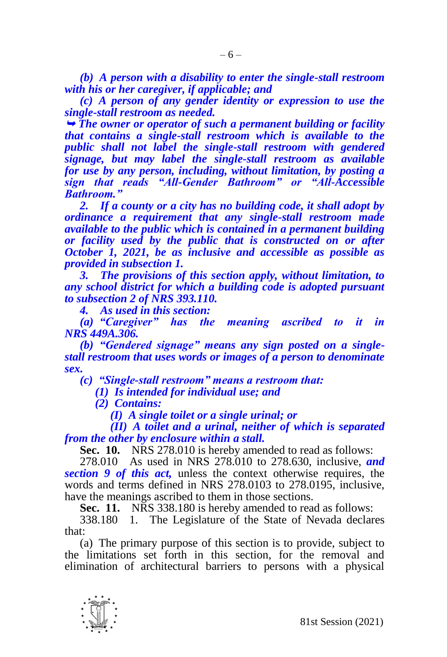*(b) A person with a disability to enter the single-stall restroom with his or her caregiver, if applicable; and*

*(c) A person of any gender identity or expression to use the single-stall restroom as needed.*

 *The owner or operator of such a permanent building or facility that contains a single-stall restroom which is available to the public shall not label the single-stall restroom with gendered signage, but may label the single-stall restroom as available for use by any person, including, without limitation, by posting a sign that reads "All-Gender Bathroom" or "All-Accessible Bathroom."*

*2. If a county or a city has no building code, it shall adopt by ordinance a requirement that any single-stall restroom made available to the public which is contained in a permanent building or facility used by the public that is constructed on or after October 1, 2021, be as inclusive and accessible as possible as provided in subsection 1.*

*3. The provisions of this section apply, without limitation, to any school district for which a building code is adopted pursuant to subsection 2 of NRS 393.110.*

*4. As used in this section:*

*(a) "Caregiver" has the meaning ascribed to it in NRS 449A.306.*

*(b) "Gendered signage" means any sign posted on a singlestall restroom that uses words or images of a person to denominate sex.*

*(c) "Single-stall restroom" means a restroom that:*

*(1) Is intended for individual use; and*

*(2) Contains:*

*(I) A single toilet or a single urinal; or*

*(II) A toilet and a urinal, neither of which is separated from the other by enclosure within a stall.*

**Sec. 10.** NRS 278.010 is hereby amended to read as follows:

278.010 As used in NRS 278.010 to 278.630, inclusive, *and section 9 of this act,* unless the context otherwise requires, the words and terms defined in NRS 278.0103 to 278.0195, inclusive, have the meanings ascribed to them in those sections.

**Sec. 11.** NRS 338.180 is hereby amended to read as follows:

338.180 1. The Legislature of the State of Nevada declares that:

(a) The primary purpose of this section is to provide, subject to the limitations set forth in this section, for the removal and elimination of architectural barriers to persons with a physical

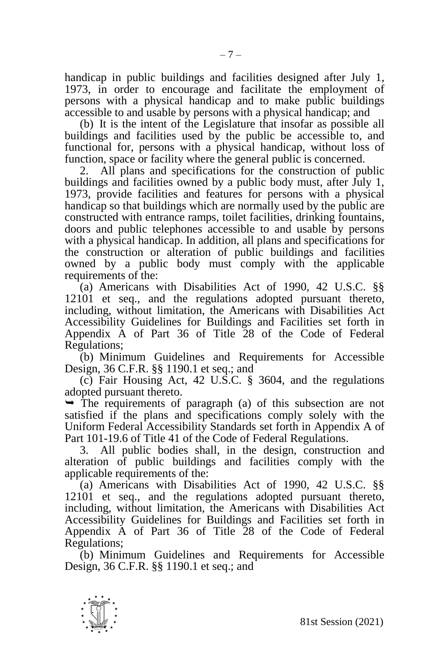handicap in public buildings and facilities designed after July 1, 1973, in order to encourage and facilitate the employment of persons with a physical handicap and to make public buildings accessible to and usable by persons with a physical handicap; and

(b) It is the intent of the Legislature that insofar as possible all buildings and facilities used by the public be accessible to, and functional for, persons with a physical handicap, without loss of function, space or facility where the general public is concerned.

2. All plans and specifications for the construction of public buildings and facilities owned by a public body must, after July 1, 1973, provide facilities and features for persons with a physical handicap so that buildings which are normally used by the public are constructed with entrance ramps, toilet facilities, drinking fountains, doors and public telephones accessible to and usable by persons with a physical handicap. In addition, all plans and specifications for the construction or alteration of public buildings and facilities owned by a public body must comply with the applicable requirements of the:

(a) Americans with Disabilities Act of 1990, 42 U.S.C. §§ 12101 et seq., and the regulations adopted pursuant thereto, including, without limitation, the Americans with Disabilities Act Accessibility Guidelines for Buildings and Facilities set forth in Appendix A of Part 36 of Title 28 of the Code of Federal Regulations;

(b) Minimum Guidelines and Requirements for Accessible Design, 36 C.F.R. §§ 1190.1 et seq.; and

(c) Fair Housing Act, 42 U.S.C. § 3604, and the regulations adopted pursuant thereto.

 $\rightarrow$  The requirements of paragraph (a) of this subsection are not satisfied if the plans and specifications comply solely with the Uniform Federal Accessibility Standards set forth in Appendix A of Part 101-19.6 of Title 41 of the Code of Federal Regulations.

3. All public bodies shall, in the design, construction and alteration of public buildings and facilities comply with the applicable requirements of the:

(a) Americans with Disabilities Act of 1990, 42 U.S.C. §§ 12101 et seq., and the regulations adopted pursuant thereto, including, without limitation, the Americans with Disabilities Act Accessibility Guidelines for Buildings and Facilities set forth in Appendix A of Part 36 of Title 28 of the Code of Federal Regulations;

(b) Minimum Guidelines and Requirements for Accessible Design, 36 C.F.R. §§ 1190.1 et seq.; and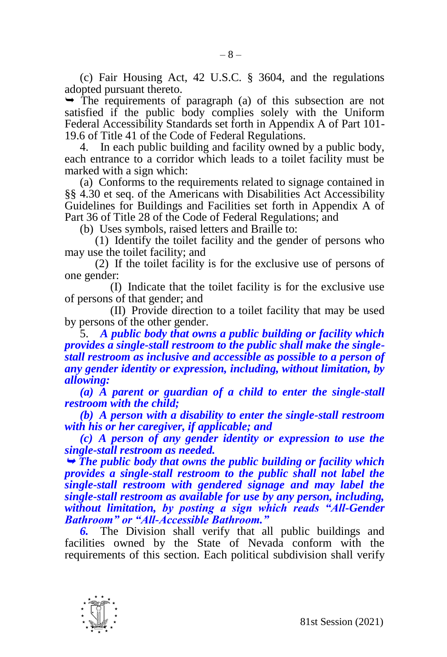(c) Fair Housing Act, 42 U.S.C. § 3604, and the regulations adopted pursuant thereto.

 $\rightarrow$  The requirements of paragraph (a) of this subsection are not satisfied if the public body complies solely with the Uniform Federal Accessibility Standards set forth in Appendix A of Part 101- 19.6 of Title 41 of the Code of Federal Regulations.

4. In each public building and facility owned by a public body, each entrance to a corridor which leads to a toilet facility must be marked with a sign which:

(a) Conforms to the requirements related to signage contained in §§ 4.30 et seq. of the Americans with Disabilities Act Accessibility Guidelines for Buildings and Facilities set forth in Appendix A of Part 36 of Title 28 of the Code of Federal Regulations; and

(b) Uses symbols, raised letters and Braille to:

(1) Identify the toilet facility and the gender of persons who may use the toilet facility; and

(2) If the toilet facility is for the exclusive use of persons of one gender:

(I) Indicate that the toilet facility is for the exclusive use of persons of that gender; and

(II) Provide direction to a toilet facility that may be used by persons of the other gender.

5. *A public body that owns a public building or facility which provides a single-stall restroom to the public shall make the singlestall restroom as inclusive and accessible as possible to a person of any gender identity or expression, including, without limitation, by allowing:*

*(a) A parent or guardian of a child to enter the single-stall restroom with the child;*

*(b) A person with a disability to enter the single-stall restroom with his or her caregiver, if applicable; and*

*(c) A person of any gender identity or expression to use the single-stall restroom as needed.*

 *The public body that owns the public building or facility which provides a single-stall restroom to the public shall not label the single-stall restroom with gendered signage and may label the single-stall restroom as available for use by any person, including, without limitation, by posting a sign which reads "All-Gender Bathroom" or "All-Accessible Bathroom."*

*6.* The Division shall verify that all public buildings and facilities owned by the State of Nevada conform with the requirements of this section. Each political subdivision shall verify

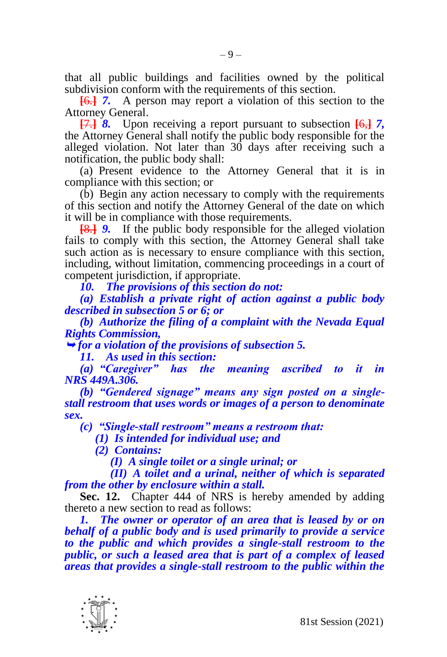that all public buildings and facilities owned by the political subdivision conform with the requirements of this section.

**[**6.**]** *7.* A person may report a violation of this section to the Attorney General.

**[**7.**]** *8.* Upon receiving a report pursuant to subsection **[**6,**]** *7,*  the Attorney General shall notify the public body responsible for the alleged violation. Not later than 30 days after receiving such a notification, the public body shall:

(a) Present evidence to the Attorney General that it is in compliance with this section; or

(b) Begin any action necessary to comply with the requirements of this section and notify the Attorney General of the date on which it will be in compliance with those requirements.

**[**8.**]** *9.* If the public body responsible for the alleged violation fails to comply with this section, the Attorney General shall take such action as is necessary to ensure compliance with this section, including, without limitation, commencing proceedings in a court of competent jurisdiction, if appropriate.

*10. The provisions of this section do not:*

*(a) Establish a private right of action against a public body described in subsection 5 or 6; or*

*(b) Authorize the filing of a complaint with the Nevada Equal Rights Commission,*

*for a violation of the provisions of subsection 5.*

*11. As used in this section:*

*(a) "Caregiver" has the meaning ascribed to it in NRS 449A.306.*

*(b) "Gendered signage" means any sign posted on a singlestall restroom that uses words or images of a person to denominate sex.*

*(c) "Single-stall restroom" means a restroom that:*

*(1) Is intended for individual use; and*

*(2) Contains:*

*(I) A single toilet or a single urinal; or*

*(II) A toilet and a urinal, neither of which is separated from the other by enclosure within a stall.*

**Sec. 12.** Chapter 444 of NRS is hereby amended by adding thereto a new section to read as follows:

*1. The owner or operator of an area that is leased by or on behalf of a public body and is used primarily to provide a service to the public and which provides a single-stall restroom to the public, or such a leased area that is part of a complex of leased areas that provides a single-stall restroom to the public within the* 

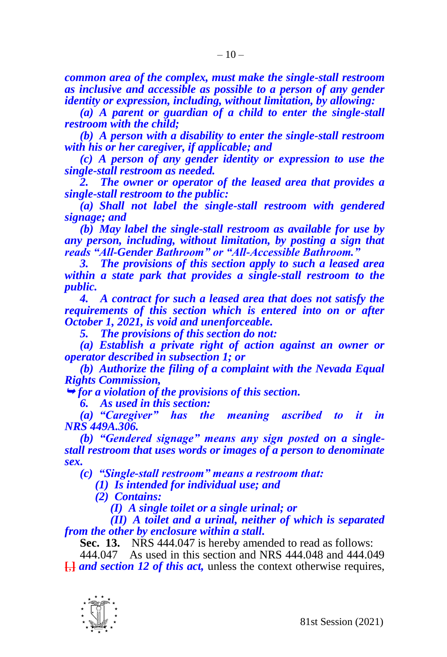*common area of the complex, must make the single-stall restroom as inclusive and accessible as possible to a person of any gender identity or expression, including, without limitation, by allowing:*

*(a) A parent or guardian of a child to enter the single-stall restroom with the child;*

*(b) A person with a disability to enter the single-stall restroom with his or her caregiver, if applicable; and*

*(c) A person of any gender identity or expression to use the single-stall restroom as needed.*

*2. The owner or operator of the leased area that provides a single-stall restroom to the public:*

*(a) Shall not label the single-stall restroom with gendered signage; and*

*(b) May label the single-stall restroom as available for use by any person, including, without limitation, by posting a sign that reads "All-Gender Bathroom" or "All-Accessible Bathroom."*

*3. The provisions of this section apply to such a leased area within a state park that provides a single-stall restroom to the public.*

*4. A contract for such a leased area that does not satisfy the requirements of this section which is entered into on or after October 1, 2021, is void and unenforceable.*

*5. The provisions of this section do not:*

*(a) Establish a private right of action against an owner or operator described in subsection 1; or*

*(b) Authorize the filing of a complaint with the Nevada Equal Rights Commission,*

*for a violation of the provisions of this section.* 

*6. As used in this section:*

*(a) "Caregiver" has the meaning ascribed to it in NRS 449A.306.*

*(b) "Gendered signage" means any sign posted on a singlestall restroom that uses words or images of a person to denominate sex.*

*(c) "Single-stall restroom" means a restroom that:*

*(1) Is intended for individual use; and*

*(2) Contains:*

*(I) A single toilet or a single urinal; or*

*(II) A toilet and a urinal, neither of which is separated from the other by enclosure within a stall.*

**Sec. 13.** NRS 444.047 is hereby amended to read as follows:

444.047 As used in this section and NRS 444.048 and 444.049 **[**,**]** *and section 12 of this act,* unless the context otherwise requires,

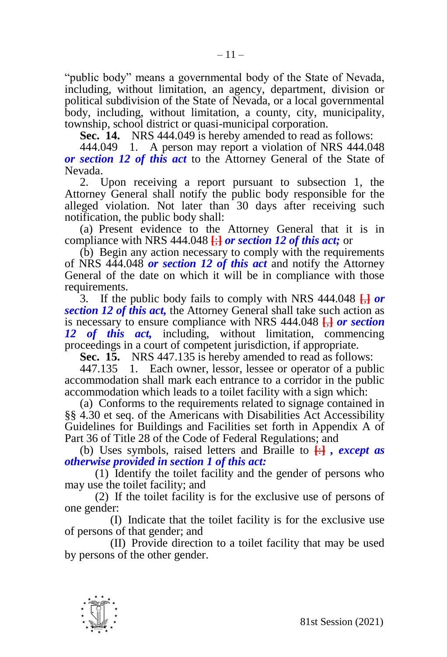"public body" means a governmental body of the State of Nevada, including, without limitation, an agency, department, division or political subdivision of the State of Nevada, or a local governmental body, including, without limitation, a county, city, municipality, township, school district or quasi-municipal corporation.

**Sec. 14.** NRS 444.049 is hereby amended to read as follows:

444.049 1. A person may report a violation of NRS 444.048 *or section 12 of this act* to the Attorney General of the State of Nevada.

2. Upon receiving a report pursuant to subsection 1, the Attorney General shall notify the public body responsible for the alleged violation. Not later than 30 days after receiving such notification, the public body shall:

(a) Present evidence to the Attorney General that it is in compliance with NRS 444.048 **[**;**]** *or section 12 of this act;* or

(b) Begin any action necessary to comply with the requirements of NRS 444.048 *or section 12 of this act* and notify the Attorney General of the date on which it will be in compliance with those requirements.

3. If the public body fails to comply with NRS 444.048 **[**,**]** *or section 12 of this act,* the Attorney General shall take such action as is necessary to ensure compliance with NRS 444.048 **[**,**]** *or section 12 of this act,* including, without limitation, commencing proceedings in a court of competent jurisdiction, if appropriate.

**Sec. 15.** NRS 447.135 is hereby amended to read as follows:

447.135 1. Each owner, lessor, lessee or operator of a public accommodation shall mark each entrance to a corridor in the public accommodation which leads to a toilet facility with a sign which:

(a) Conforms to the requirements related to signage contained in §§ 4.30 et seq. of the Americans with Disabilities Act Accessibility Guidelines for Buildings and Facilities set forth in Appendix A of Part 36 of Title 28 of the Code of Federal Regulations; and

(b) Uses symbols, raised letters and Braille to **[**:**]** *, except as otherwise provided in section 1 of this act:*

(1) Identify the toilet facility and the gender of persons who may use the toilet facility; and

(2) If the toilet facility is for the exclusive use of persons of one gender:

(I) Indicate that the toilet facility is for the exclusive use of persons of that gender; and

(II) Provide direction to a toilet facility that may be used by persons of the other gender.